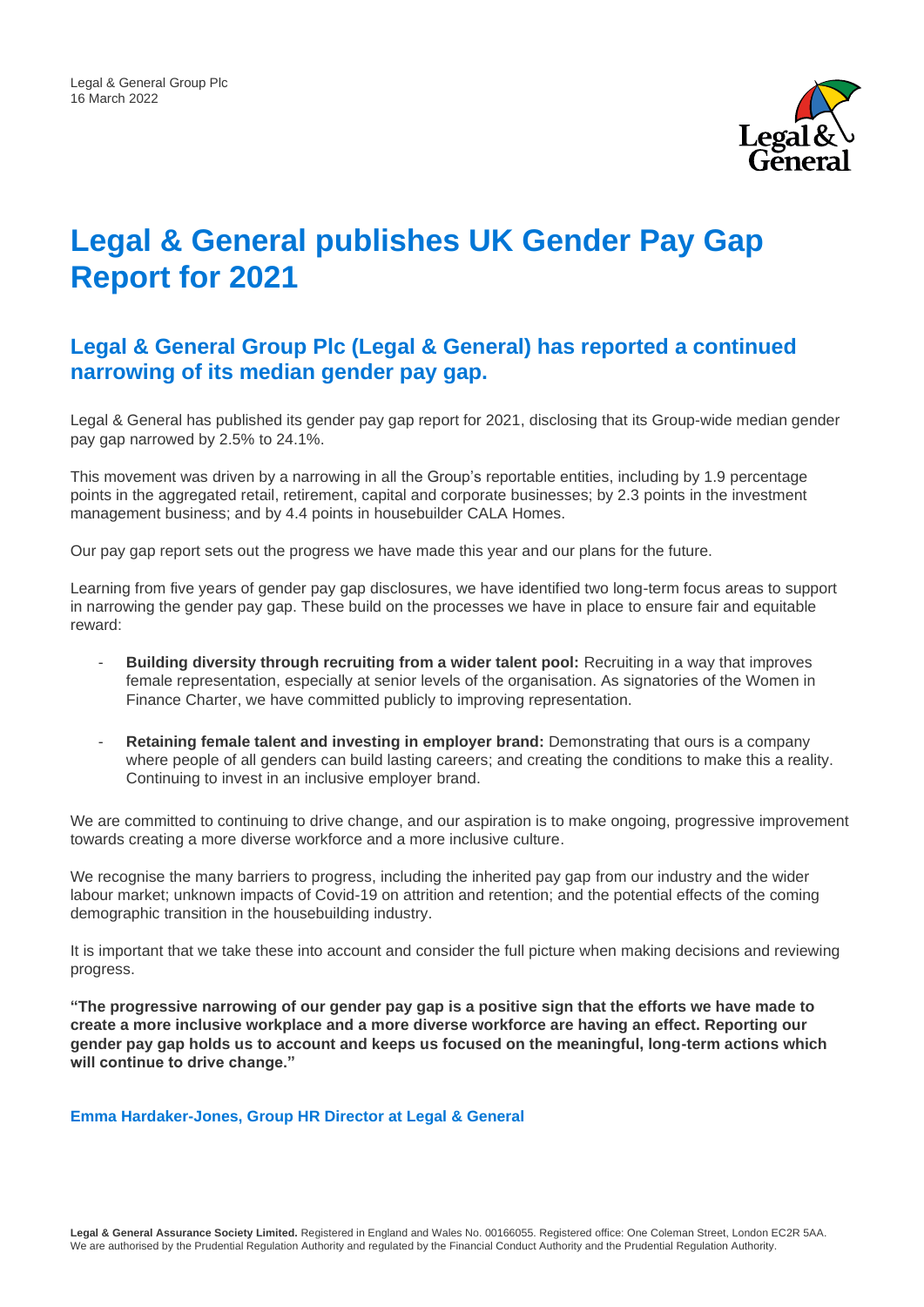

## **Legal & General publishes UK Gender Pay Gap Report for 2021**

## **Legal & General Group Plc (Legal & General) has reported a continued narrowing of its median gender pay gap.**

Legal & General has published its gender pay gap report for 2021, disclosing that its Group-wide median gender pay gap narrowed by 2.5% to 24.1%.

This movement was driven by a narrowing in all the Group's reportable entities, including by 1.9 percentage points in the aggregated retail, retirement, capital and corporate businesses; by 2.3 points in the investment management business; and by 4.4 points in housebuilder CALA Homes.

Our pay gap report sets out the progress we have made this year and our plans for the future.

Learning from five years of gender pay gap disclosures, we have identified two long-term focus areas to support in narrowing the gender pay gap. These build on the processes we have in place to ensure fair and equitable reward:

- **Building diversity through recruiting from a wider talent pool:** Recruiting in a way that improves female representation, especially at senior levels of the organisation. As signatories of the Women in Finance Charter, we have committed publicly to improving representation.
- **Retaining female talent and investing in employer brand:** Demonstrating that ours is a company where people of all genders can build lasting careers; and creating the conditions to make this a reality. Continuing to invest in an inclusive employer brand.

We are committed to continuing to drive change, and our aspiration is to make ongoing, progressive improvement towards creating a more diverse workforce and a more inclusive culture.

We recognise the many barriers to progress, including the inherited pay gap from our industry and the wider labour market; unknown impacts of Covid-19 on attrition and retention; and the potential effects of the coming demographic transition in the housebuilding industry.

It is important that we take these into account and consider the full picture when making decisions and reviewing progress.

**"The progressive narrowing of our gender pay gap is a positive sign that the efforts we have made to create a more inclusive workplace and a more diverse workforce are having an effect. Reporting our gender pay gap holds us to account and keeps us focused on the meaningful, long-term actions which will continue to drive change."** 

**Emma Hardaker-Jones, Group HR Director at Legal & General**